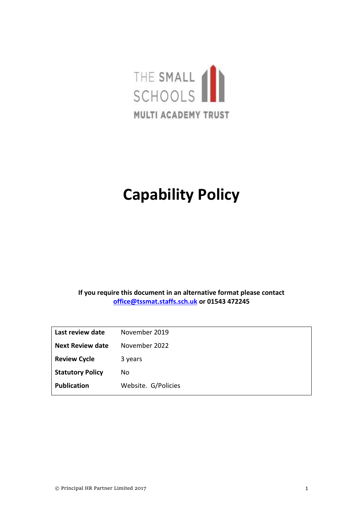

# **Capability Policy**

**If you require this document in an alternative format please contact [office@tssmat.staffs.sch.uk](mailto:office@tssmat.staffs.sch.uk) or 01543 472245**

| Last review date        | November 2019       |
|-------------------------|---------------------|
| <b>Next Review date</b> | November 2022       |
| <b>Review Cycle</b>     | 3 years             |
| <b>Statutory Policy</b> | No                  |
| <b>Publication</b>      | Website. G/Policies |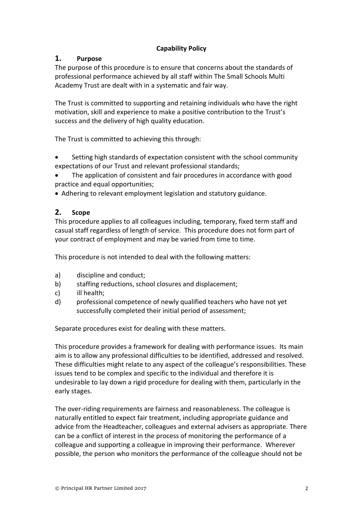## **Capability Policy**

## **1. Purpose**

The purpose of this procedure is to ensure that concerns about the standards of professional performance achieved by all staff within The Small Schools Multi Academy Trust are dealt with in a systematic and fair way.

The Trust is committed to supporting and retaining individuals who have the right motivation, skill and experience to make a positive contribution to the Trust's success and the delivery of high quality education.

The Trust is committed to achieving this through:

- Setting high standards of expectation consistent with the school community expectations of our Trust and relevant professional standards;
- The application of consistent and fair procedures in accordance with good practice and equal opportunities;
- Adhering to relevant employment legislation and statutory guidance.

## **2. Scope**

This procedure applies to all colleagues including, temporary, fixed term staff and casual staff regardless of length of service. This procedure does not form part of your contract of employment and may be varied from time to time.

This procedure is not intended to deal with the following matters:

- a) discipline and conduct;
- b) staffing reductions, school closures and displacement;
- c) ill health;
- d) professional competence of newly qualified teachers who have not yet successfully completed their initial period of assessment;

Separate procedures exist for dealing with these matters.

This procedure provides a framework for dealing with performance issues. Its main aim is to allow any professional difficulties to be identified, addressed and resolved. These difficulties might relate to any aspect of the colleague's responsibilities. These issues tend to be complex and specific to the individual and therefore it is undesirable to lay down a rigid procedure for dealing with them, particularly in the early stages.

The over-riding requirements are fairness and reasonableness. The colleague is naturally entitled to expect fair treatment, including appropriate guidance and advice from the Headteacher, colleagues and external advisers as appropriate. There can be a conflict of interest in the process of monitoring the performance of a colleague and supporting a colleague in improving their performance. Wherever possible, the person who monitors the performance of the colleague should not be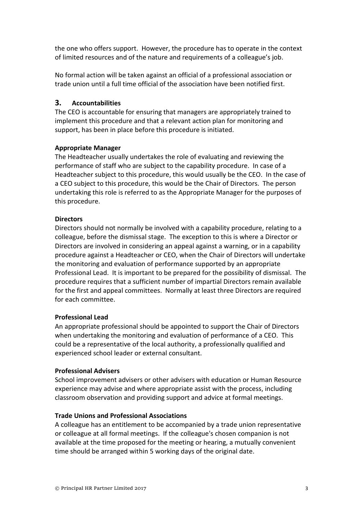the one who offers support. However, the procedure has to operate in the context of limited resources and of the nature and requirements of a colleague's job.

No formal action will be taken against an official of a professional association or trade union until a full time official of the association have been notified first.

## **3. Accountabilities**

The CEO is accountable for ensuring that managers are appropriately trained to implement this procedure and that a relevant action plan for monitoring and support, has been in place before this procedure is initiated.

## **Appropriate Manager**

The Headteacher usually undertakes the role of evaluating and reviewing the performance of staff who are subject to the capability procedure. In case of a Headteacher subject to this procedure, this would usually be the CEO. In the case of a CEO subject to this procedure, this would be the Chair of Directors. The person undertaking this role is referred to as the Appropriate Manager for the purposes of this procedure.

## **Directors**

Directors should not normally be involved with a capability procedure, relating to a colleague, before the dismissal stage. The exception to this is where a Director or Directors are involved in considering an appeal against a warning, or in a capability procedure against a Headteacher or CEO, when the Chair of Directors will undertake the monitoring and evaluation of performance supported by an appropriate Professional Lead. It is important to be prepared for the possibility of dismissal. The procedure requires that a sufficient number of impartial Directors remain available for the first and appeal committees. Normally at least three Directors are required for each committee.

## **Professional Lead**

An appropriate professional should be appointed to support the Chair of Directors when undertaking the monitoring and evaluation of performance of a CEO. This could be a representative of the local authority, a professionally qualified and experienced school leader or external consultant.

## **Professional Advisers**

School improvement advisers or other advisers with education or Human Resource experience may advise and where appropriate assist with the process, including classroom observation and providing support and advice at formal meetings.

## **Trade Unions and Professional Associations**

A colleague has an entitlement to be accompanied by a trade union representative or colleague at all formal meetings. If the colleague's chosen companion is not available at the time proposed for the meeting or hearing, a mutually convenient time should be arranged within 5 working days of the original date.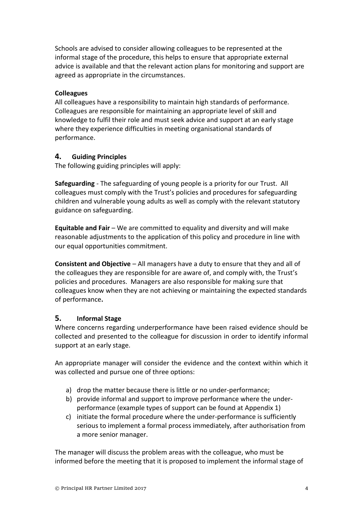Schools are advised to consider allowing colleagues to be represented at the informal stage of the procedure, this helps to ensure that appropriate external advice is available and that the relevant action plans for monitoring and support are agreed as appropriate in the circumstances.

#### **Colleagues**

All colleagues have a responsibility to maintain high standards of performance. Colleagues are responsible for maintaining an appropriate level of skill and knowledge to fulfil their role and must seek advice and support at an early stage where they experience difficulties in meeting organisational standards of performance.

## **4. Guiding Principles**

The following guiding principles will apply:

**Safeguarding** - The safeguarding of young people is a priority for our Trust. All colleagues must comply with the Trust's policies and procedures for safeguarding children and vulnerable young adults as well as comply with the relevant statutory guidance on safeguarding.

**Equitable and Fair** – We are committed to equality and diversity and will make reasonable adjustments to the application of this policy and procedure in line with our equal opportunities commitment.

**Consistent and Objective** – All managers have a duty to ensure that they and all of the colleagues they are responsible for are aware of, and comply with, the Trust's policies and procedures. Managers are also responsible for making sure that colleagues know when they are not achieving or maintaining the expected standards of performance**.**

## **5. Informal Stage**

Where concerns regarding underperformance have been raised evidence should be collected and presented to the colleague for discussion in order to identify informal support at an early stage.

An appropriate manager will consider the evidence and the context within which it was collected and pursue one of three options:

- a) drop the matter because there is little or no under-performance;
- b) provide informal and support to improve performance where the underperformance (example types of support can be found at Appendix 1)
- c) initiate the formal procedure where the under-performance is sufficiently serious to implement a formal process immediately, after authorisation from a more senior manager.

The manager will discuss the problem areas with the colleague, who must be informed before the meeting that it is proposed to implement the informal stage of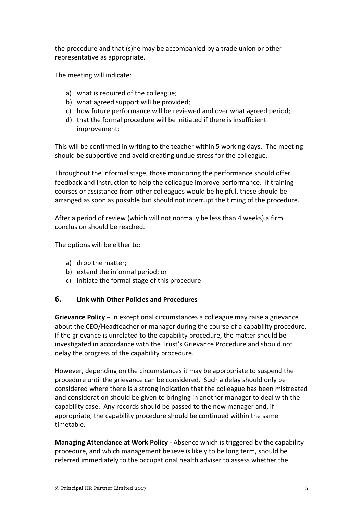the procedure and that (s)he may be accompanied by a trade union or other representative as appropriate.

The meeting will indicate:

- a) what is required of the colleague;
- b) what agreed support will be provided;
- c) how future performance will be reviewed and over what agreed period;
- d) that the formal procedure will be initiated if there is insufficient improvement;

This will be confirmed in writing to the teacher within 5 working days. The meeting should be supportive and avoid creating undue stress for the colleague.

Throughout the informal stage, those monitoring the performance should offer feedback and instruction to help the colleague improve performance. If training courses or assistance from other colleagues would be helpful, these should be arranged as soon as possible but should not interrupt the timing of the procedure.

After a period of review (which will not normally be less than 4 weeks) a firm conclusion should be reached.

The options will be either to:

- a) drop the matter;
- b) extend the informal period; or
- c) initiate the formal stage of this procedure

## **6. Link with Other Policies and Procedures**

**Grievance Policy** – In exceptional circumstances a colleague may raise a grievance about the CEO/Headteacher or manager during the course of a capability procedure. If the grievance is unrelated to the capability procedure, the matter should be investigated in accordance with the Trust's Grievance Procedure and should not delay the progress of the capability procedure.

However, depending on the circumstances it may be appropriate to suspend the procedure until the grievance can be considered. Such a delay should only be considered where there is a strong indication that the colleague has been mistreated and consideration should be given to bringing in another manager to deal with the capability case. Any records should be passed to the new manager and, if appropriate, the capability procedure should be continued within the same timetable.

**Managing Attendance at Work Policy -** Absence which is triggered by the capability procedure, and which management believe is likely to be long term, should be referred immediately to the occupational health adviser to assess whether the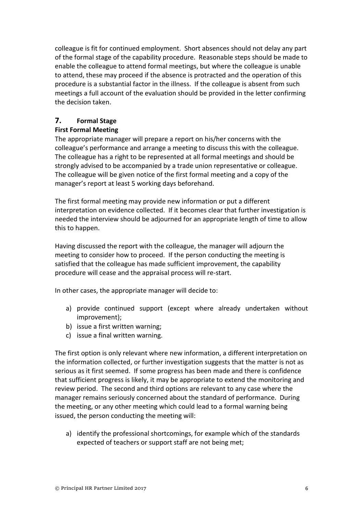colleague is fit for continued employment. Short absences should not delay any part of the formal stage of the capability procedure. Reasonable steps should be made to enable the colleague to attend formal meetings, but where the colleague is unable to attend, these may proceed if the absence is protracted and the operation of this procedure is a substantial factor in the illness. If the colleague is absent from such meetings a full account of the evaluation should be provided in the letter confirming the decision taken.

## **7. Formal Stage**

#### **First Formal Meeting**

The appropriate manager will prepare a report on his/her concerns with the colleague's performance and arrange a meeting to discuss this with the colleague. The colleague has a right to be represented at all formal meetings and should be strongly advised to be accompanied by a trade union representative or colleague. The colleague will be given notice of the first formal meeting and a copy of the manager's report at least 5 working days beforehand.

The first formal meeting may provide new information or put a different interpretation on evidence collected. If it becomes clear that further investigation is needed the interview should be adjourned for an appropriate length of time to allow this to happen.

Having discussed the report with the colleague, the manager will adjourn the meeting to consider how to proceed. If the person conducting the meeting is satisfied that the colleague has made sufficient improvement, the capability procedure will cease and the appraisal process will re-start.

In other cases, the appropriate manager will decide to:

- a) provide continued support (except where already undertaken without improvement);
- b) issue a first written warning;
- c) issue a final written warning.

The first option is only relevant where new information, a different interpretation on the information collected, or further investigation suggests that the matter is not as serious as it first seemed. If some progress has been made and there is confidence that sufficient progress is likely, it may be appropriate to extend the monitoring and review period. The second and third options are relevant to any case where the manager remains seriously concerned about the standard of performance. During the meeting, or any other meeting which could lead to a formal warning being issued, the person conducting the meeting will:

a) identify the professional shortcomings, for example which of the standards expected of teachers or support staff are not being met;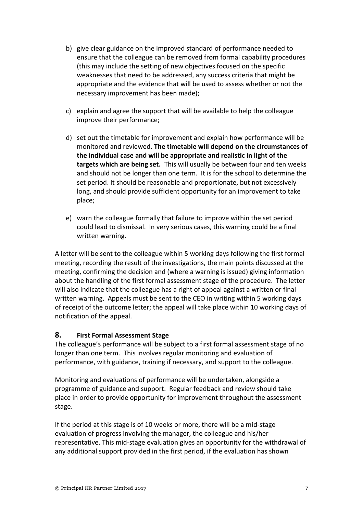- b) give clear guidance on the improved standard of performance needed to ensure that the colleague can be removed from formal capability procedures (this may include the setting of new objectives focused on the specific weaknesses that need to be addressed, any success criteria that might be appropriate and the evidence that will be used to assess whether or not the necessary improvement has been made);
- c) explain and agree the support that will be available to help the colleague improve their performance;
- d) set out the timetable for improvement and explain how performance will be monitored and reviewed. **The timetable will depend on the circumstances of the individual case and will be appropriate and realistic in light of the targets which are being set.** This will usually be between four and ten weeks and should not be longer than one term. It is for the school to determine the set period. It should be reasonable and proportionate, but not excessively long, and should provide sufficient opportunity for an improvement to take place;
- e) warn the colleague formally that failure to improve within the set period could lead to dismissal. In very serious cases, this warning could be a final written warning.

A letter will be sent to the colleague within 5 working days following the first formal meeting, recording the result of the investigations, the main points discussed at the meeting, confirming the decision and (where a warning is issued) giving information about the handling of the first formal assessment stage of the procedure. The letter will also indicate that the colleague has a right of appeal against a written or final written warning. Appeals must be sent to the CEO in writing within 5 working days of receipt of the outcome letter; the appeal will take place within 10 working days of notification of the appeal.

## **8. First Formal Assessment Stage**

The colleague's performance will be subject to a first formal assessment stage of no longer than one term. This involves regular monitoring and evaluation of performance, with guidance, training if necessary, and support to the colleague.

Monitoring and evaluations of performance will be undertaken, alongside a programme of guidance and support. Regular feedback and review should take place in order to provide opportunity for improvement throughout the assessment stage.

If the period at this stage is of 10 weeks or more, there will be a mid-stage evaluation of progress involving the manager, the colleague and his/her representative. This mid-stage evaluation gives an opportunity for the withdrawal of any additional support provided in the first period, if the evaluation has shown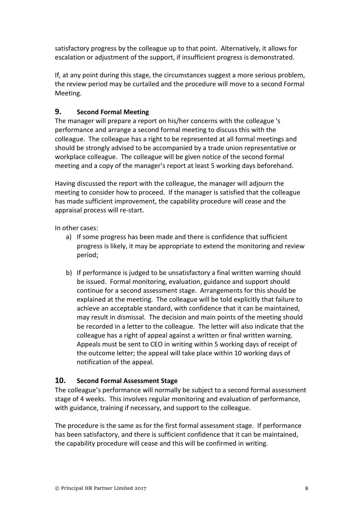satisfactory progress by the colleague up to that point. Alternatively, it allows for escalation or adjustment of the support, if insufficient progress is demonstrated.

If, at any point during this stage, the circumstances suggest a more serious problem, the review period may be curtailed and the procedure will move to a second Formal Meeting.

## **9. Second Formal Meeting**

The manager will prepare a report on his/her concerns with the colleague 's performance and arrange a second formal meeting to discuss this with the colleague. The colleague has a right to be represented at all formal meetings and should be strongly advised to be accompanied by a trade union representative or workplace colleague. The colleague will be given notice of the second formal meeting and a copy of the manager's report at least 5 working days beforehand.

Having discussed the report with the colleague, the manager will adjourn the meeting to consider how to proceed. If the manager is satisfied that the colleague has made sufficient improvement, the capability procedure will cease and the appraisal process will re-start.

In other cases:

- a) If some progress has been made and there is confidence that sufficient progress is likely, it may be appropriate to extend the monitoring and review period;
- b) If performance is judged to be unsatisfactory a final written warning should be issued. Formal monitoring, evaluation, guidance and support should continue for a second assessment stage. Arrangements for this should be explained at the meeting. The colleague will be told explicitly that failure to achieve an acceptable standard, with confidence that it can be maintained, may result in dismissal. The decision and main points of the meeting should be recorded in a letter to the colleague. The letter will also indicate that the colleague has a right of appeal against a written or final written warning. Appeals must be sent to CEO in writing within 5 working days of receipt of the outcome letter; the appeal will take place within 10 working days of notification of the appeal.

## **10. Second Formal Assessment Stage**

The colleague's performance will normally be subject to a second formal assessment stage of 4 weeks. This involves regular monitoring and evaluation of performance, with guidance, training if necessary, and support to the colleague.

The procedure is the same as for the first formal assessment stage. If performance has been satisfactory, and there is sufficient confidence that it can be maintained, the capability procedure will cease and this will be confirmed in writing.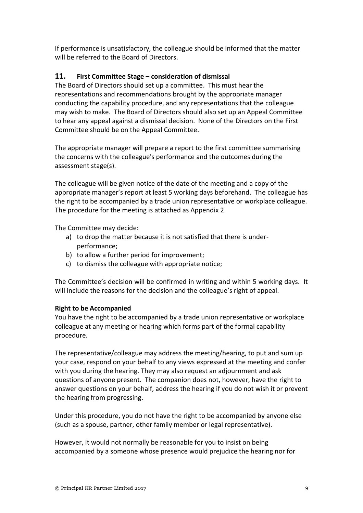If performance is unsatisfactory, the colleague should be informed that the matter will be referred to the Board of Directors.

## **11. First Committee Stage – consideration of dismissal**

The Board of Directors should set up a committee. This must hear the representations and recommendations brought by the appropriate manager conducting the capability procedure, and any representations that the colleague may wish to make. The Board of Directors should also set up an Appeal Committee to hear any appeal against a dismissal decision. None of the Directors on the First Committee should be on the Appeal Committee.

The appropriate manager will prepare a report to the first committee summarising the concerns with the colleague's performance and the outcomes during the assessment stage(s).

The colleague will be given notice of the date of the meeting and a copy of the appropriate manager's report at least 5 working days beforehand. The colleague has the right to be accompanied by a trade union representative or workplace colleague. The procedure for the meeting is attached as Appendix 2.

The Committee may decide:

- a) to drop the matter because it is not satisfied that there is underperformance;
- b) to allow a further period for improvement;
- c) to dismiss the colleague with appropriate notice;

The Committee's decision will be confirmed in writing and within 5 working days. It will include the reasons for the decision and the colleague's right of appeal.

## **Right to be Accompanied**

You have the right to be accompanied by a trade union representative or workplace colleague at any meeting or hearing which forms part of the formal capability procedure.

The representative/colleague may address the meeting/hearing, to put and sum up your case, respond on your behalf to any views expressed at the meeting and confer with you during the hearing. They may also request an adjournment and ask questions of anyone present. The companion does not, however, have the right to answer questions on your behalf, address the hearing if you do not wish it or prevent the hearing from progressing.

Under this procedure, you do not have the right to be accompanied by anyone else (such as a spouse, partner, other family member or legal representative).

However, it would not normally be reasonable for you to insist on being accompanied by a someone whose presence would prejudice the hearing nor for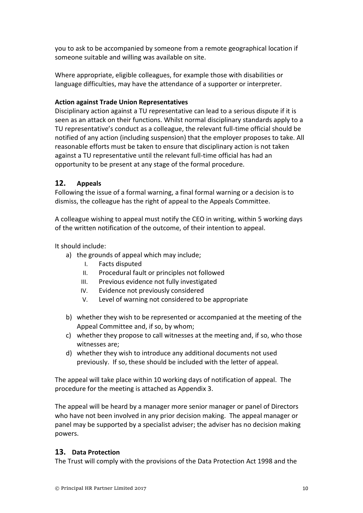you to ask to be accompanied by someone from a remote geographical location if someone suitable and willing was available on site.

Where appropriate, eligible colleagues, for example those with disabilities or language difficulties, may have the attendance of a supporter or interpreter.

## **Action against Trade Union Representatives**

Disciplinary action against a TU representative can lead to a serious dispute if it is seen as an attack on their functions. Whilst normal disciplinary standards apply to a TU representative's conduct as a colleague, the relevant full-time official should be notified of any action (including suspension) that the employer proposes to take. All reasonable efforts must be taken to ensure that disciplinary action is not taken against a TU representative until the relevant full-time official has had an opportunity to be present at any stage of the formal procedure.

## **12. Appeals**

Following the issue of a formal warning, a final formal warning or a decision is to dismiss, the colleague has the right of appeal to the Appeals Committee.

A colleague wishing to appeal must notify the CEO in writing, within 5 working days of the written notification of the outcome, of their intention to appeal.

#### It should include:

- a) the grounds of appeal which may include;
	- I. Facts disputed
	- II. Procedural fault or principles not followed
	- III. Previous evidence not fully investigated
	- IV. Evidence not previously considered
	- V. Level of warning not considered to be appropriate
- b) whether they wish to be represented or accompanied at the meeting of the Appeal Committee and, if so, by whom;
- c) whether they propose to call witnesses at the meeting and, if so, who those witnesses are;
- d) whether they wish to introduce any additional documents not used previously. If so, these should be included with the letter of appeal.

The appeal will take place within 10 working days of notification of appeal. The procedure for the meeting is attached as Appendix 3.

The appeal will be heard by a manager more senior manager or panel of Directors who have not been involved in any prior decision making. The appeal manager or panel may be supported by a specialist adviser; the adviser has no decision making powers.

#### **13. Data Protection**

The Trust will comply with the provisions of the Data Protection Act 1998 and the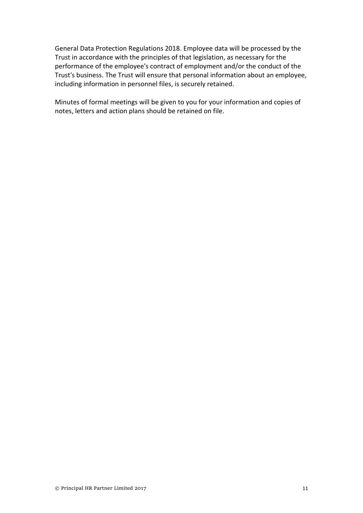General Data Protection Regulations 2018. Employee data will be processed by the Trust in accordance with the principles of that legislation, as necessary for the performance of the employee's contract of employment and/or the conduct of the Trust's business. The Trust will ensure that personal information about an employee, including information in personnel files, is securely retained.

Minutes of formal meetings will be given to you for your information and copies of notes, letters and action plans should be retained on file.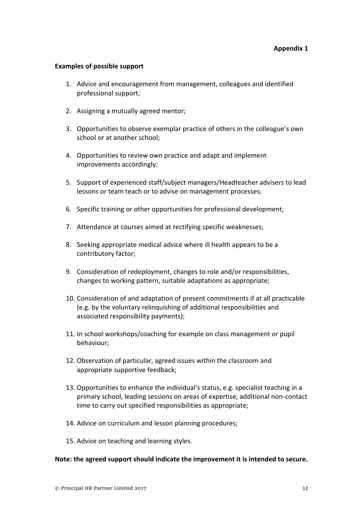#### **Examples of possible support**

- 1. Advice and encouragement from management, colleagues and identified professional support;
- 2. Assigning a mutually agreed mentor;
- 3. Opportunities to observe exemplar practice of others in the colleague's own school or at another school;
- 4. Opportunities to review own practice and adapt and implement improvements accordingly;
- 5. Support of experienced staff/subject managers/Headteacher advisers to lead lessons or team teach or to advise on management processes;
- 6. Specific training or other opportunities for professional development;
- 7. Attendance at courses aimed at rectifying specific weaknesses;
- 8. Seeking appropriate medical advice where ill health appears to be a contributory factor;
- 9. Consideration of redeployment, changes to role and/or responsibilities, changes to working pattern, suitable adaptations as appropriate;
- 10. Consideration of and adaptation of present commitments if at all practicable (e.g. by the voluntary relinquishing of additional responsibilities and associated responsibility payments);
- 11. In school workshops/coaching for example on class management or pupil behaviour;
- 12. Observation of particular, agreed issues within the classroom and appropriate supportive feedback;
- 13. Opportunities to enhance the individual's status, e.g. specialist teaching in a primary school, leading sessions on areas of expertise, additional non-contact time to carry out specified responsibilities as appropriate;
- 14. Advice on curriculum and lesson planning procedures;
- 15. Advice on teaching and learning styles.

#### **Note: the agreed support should indicate the improvement it is intended to secure.**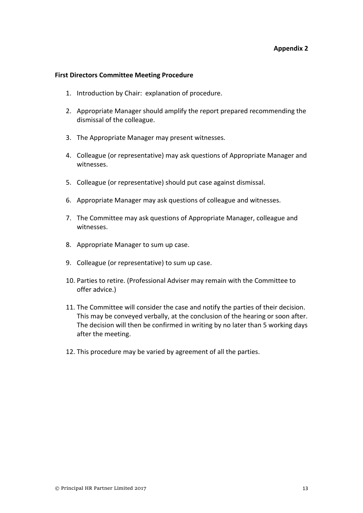#### **Appendix 2**

#### **First Directors Committee Meeting Procedure**

- 1. Introduction by Chair: explanation of procedure.
- 2. Appropriate Manager should amplify the report prepared recommending the dismissal of the colleague.
- 3. The Appropriate Manager may present witnesses.
- 4. Colleague (or representative) may ask questions of Appropriate Manager and witnesses.
- 5. Colleague (or representative) should put case against dismissal.
- 6. Appropriate Manager may ask questions of colleague and witnesses.
- 7. The Committee may ask questions of Appropriate Manager, colleague and witnesses.
- 8. Appropriate Manager to sum up case.
- 9. Colleague (or representative) to sum up case.
- 10. Parties to retire. (Professional Adviser may remain with the Committee to offer advice.)
- 11. The Committee will consider the case and notify the parties of their decision. This may be conveyed verbally, at the conclusion of the hearing or soon after. The decision will then be confirmed in writing by no later than 5 working days after the meeting.
- 12. This procedure may be varied by agreement of all the parties.